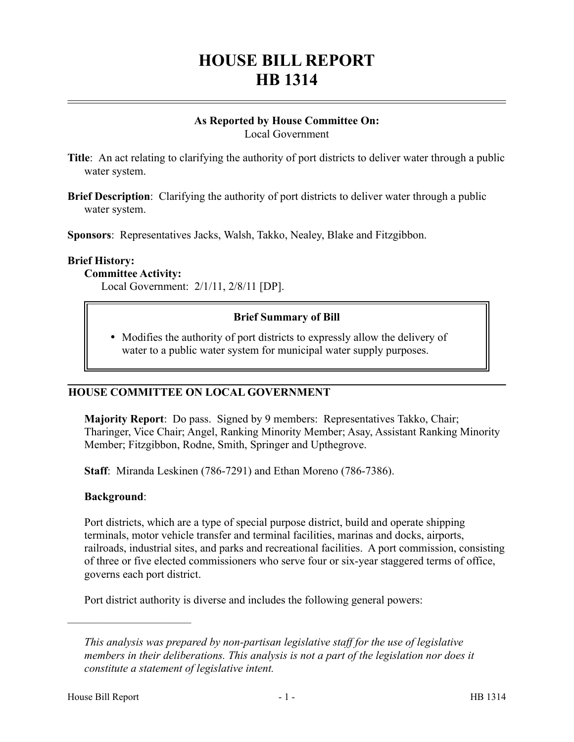# **HOUSE BILL REPORT HB 1314**

## **As Reported by House Committee On:** Local Government

**Title:** An act relating to clarifying the authority of port districts to deliver water through a public water system.

**Brief Description**: Clarifying the authority of port districts to deliver water through a public water system.

**Sponsors**: Representatives Jacks, Walsh, Takko, Nealey, Blake and Fitzgibbon.

## **Brief History:**

## **Committee Activity:**

Local Government: 2/1/11, 2/8/11 [DP].

## **Brief Summary of Bill**

• Modifies the authority of port districts to expressly allow the delivery of water to a public water system for municipal water supply purposes.

## **HOUSE COMMITTEE ON LOCAL GOVERNMENT**

**Majority Report**: Do pass. Signed by 9 members: Representatives Takko, Chair; Tharinger, Vice Chair; Angel, Ranking Minority Member; Asay, Assistant Ranking Minority Member; Fitzgibbon, Rodne, Smith, Springer and Upthegrove.

**Staff**: Miranda Leskinen (786-7291) and Ethan Moreno (786-7386).

## **Background**:

––––––––––––––––––––––

Port districts, which are a type of special purpose district, build and operate shipping terminals, motor vehicle transfer and terminal facilities, marinas and docks, airports, railroads, industrial sites, and parks and recreational facilities. A port commission, consisting of three or five elected commissioners who serve four or six-year staggered terms of office, governs each port district.

Port district authority is diverse and includes the following general powers:

*This analysis was prepared by non-partisan legislative staff for the use of legislative members in their deliberations. This analysis is not a part of the legislation nor does it constitute a statement of legislative intent.*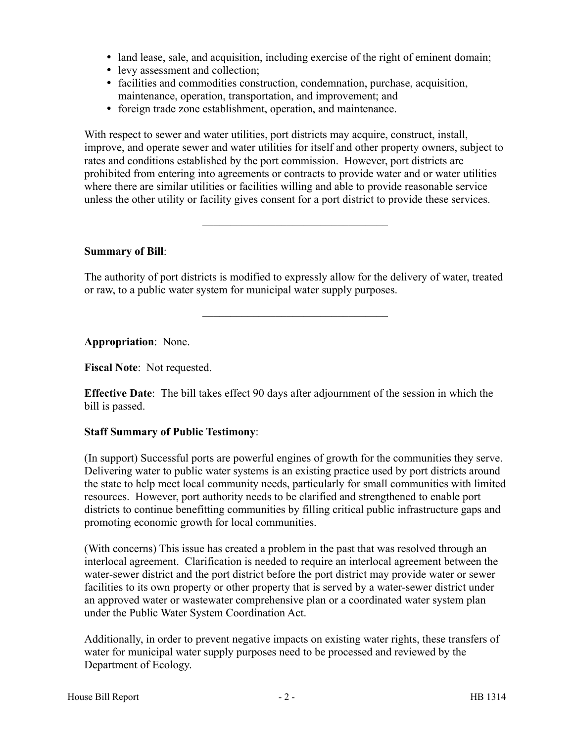- land lease, sale, and acquisition, including exercise of the right of eminent domain;
- levy assessment and collection;
- facilities and commodities construction, condemnation, purchase, acquisition, maintenance, operation, transportation, and improvement; and
- foreign trade zone establishment, operation, and maintenance.

With respect to sewer and water utilities, port districts may acquire, construct, install, improve, and operate sewer and water utilities for itself and other property owners, subject to rates and conditions established by the port commission. However, port districts are prohibited from entering into agreements or contracts to provide water and or water utilities where there are similar utilities or facilities willing and able to provide reasonable service unless the other utility or facility gives consent for a port district to provide these services.

## **Summary of Bill**:

The authority of port districts is modified to expressly allow for the delivery of water, treated or raw, to a public water system for municipal water supply purposes.

–––––––––––––––––––––––––––––––––

–––––––––––––––––––––––––––––––––

**Appropriation**: None.

**Fiscal Note**: Not requested.

**Effective Date**: The bill takes effect 90 days after adjournment of the session in which the bill is passed.

## **Staff Summary of Public Testimony**:

(In support) Successful ports are powerful engines of growth for the communities they serve. Delivering water to public water systems is an existing practice used by port districts around the state to help meet local community needs, particularly for small communities with limited resources. However, port authority needs to be clarified and strengthened to enable port districts to continue benefitting communities by filling critical public infrastructure gaps and promoting economic growth for local communities.

(With concerns) This issue has created a problem in the past that was resolved through an interlocal agreement. Clarification is needed to require an interlocal agreement between the water-sewer district and the port district before the port district may provide water or sewer facilities to its own property or other property that is served by a water-sewer district under an approved water or wastewater comprehensive plan or a coordinated water system plan under the Public Water System Coordination Act.

Additionally, in order to prevent negative impacts on existing water rights, these transfers of water for municipal water supply purposes need to be processed and reviewed by the Department of Ecology.